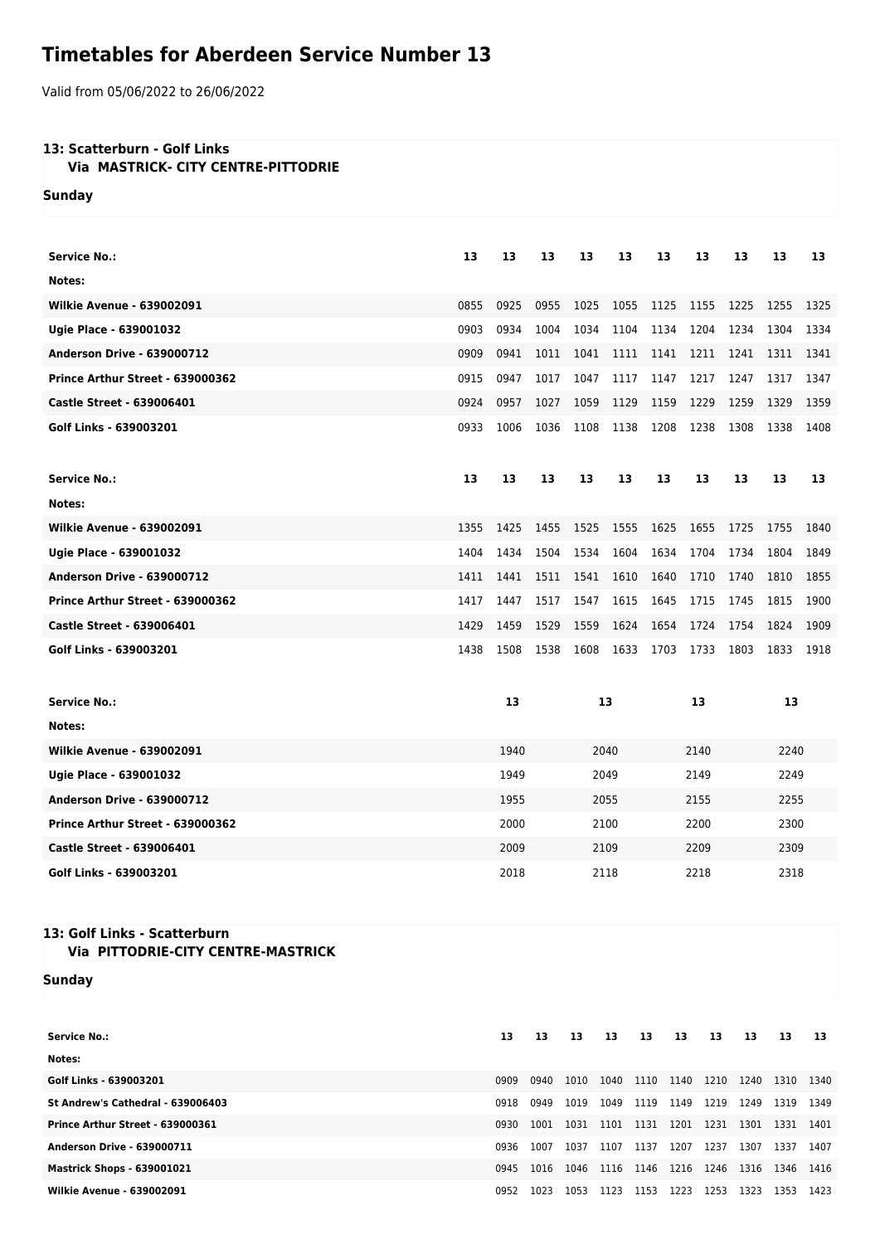## **Timetables for Aberdeen Service Number 13**

Valid from 05/06/2022 to 26/06/2022

## **13: Scatterburn - Golf Links**

 **Via MASTRICK- CITY CENTRE-PITTODRIE**

**Sunday**

| Service No.:                      | 13   | 13   | 13   | 13   | 13   | 13   | 13   | 13   | 13   | 13   |  |
|-----------------------------------|------|------|------|------|------|------|------|------|------|------|--|
| Notes:                            |      |      |      |      |      |      |      |      |      |      |  |
| <b>Wilkie Avenue - 639002091</b>  | 0855 | 0925 | 0955 | 1025 | 1055 | 1125 | 1155 | 1225 | 1255 | 1325 |  |
| Ugie Place - 639001032            | 0903 | 0934 | 1004 | 1034 | 1104 | 1134 | 1204 | 1234 | 1304 | 1334 |  |
| <b>Anderson Drive - 639000712</b> | 0909 | 0941 | 1011 | 1041 | 1111 | 1141 | 1211 | 1241 | 1311 | 1341 |  |
| Prince Arthur Street - 639000362  | 0915 | 0947 | 1017 | 1047 | 1117 | 1147 | 1217 | 1247 | 1317 | 1347 |  |
| <b>Castle Street - 639006401</b>  | 0924 | 0957 | 1027 | 1059 | 1129 | 1159 | 1229 | 1259 | 1329 | 1359 |  |
| Golf Links - 639003201            | 0933 | 1006 | 1036 | 1108 | 1138 | 1208 | 1238 | 1308 | 1338 | 1408 |  |
|                                   |      |      |      |      |      |      |      |      |      |      |  |
| Service No.:                      | 13   | 13   | 13   | 13   | 13   | 13   | 13   | 13   | 13   | 13   |  |
| Notes:                            |      |      |      |      |      |      |      |      |      |      |  |
| <b>Wilkie Avenue - 639002091</b>  | 1355 | 1425 | 1455 | 1525 | 1555 | 1625 | 1655 | 1725 | 1755 | 1840 |  |
| Ugie Place - 639001032            | 1404 | 1434 | 1504 | 1534 | 1604 | 1634 | 1704 | 1734 | 1804 | 1849 |  |
| <b>Anderson Drive - 639000712</b> | 1411 | 1441 | 1511 | 1541 | 1610 | 1640 | 1710 | 1740 | 1810 | 1855 |  |
| Prince Arthur Street - 639000362  | 1417 | 1447 | 1517 | 1547 | 1615 | 1645 | 1715 | 1745 | 1815 | 1900 |  |
| <b>Castle Street - 639006401</b>  | 1429 | 1459 | 1529 | 1559 | 1624 | 1654 | 1724 | 1754 | 1824 | 1909 |  |
| Golf Links - 639003201            | 1438 | 1508 | 1538 | 1608 | 1633 | 1703 | 1733 | 1803 | 1833 | 1918 |  |
|                                   |      |      |      |      |      |      |      |      |      |      |  |
| <b>Service No.:</b>               |      | 13   |      | 13   |      | 13   |      | 13   |      |      |  |
| Notes:                            |      |      |      |      |      |      |      |      |      |      |  |
| <b>Wilkie Avenue - 639002091</b>  |      | 1940 |      | 2040 |      | 2140 |      | 2240 |      |      |  |
| Ugie Place - 639001032            |      | 1949 |      | 2049 |      | 2149 |      |      | 2249 |      |  |
| <b>Anderson Drive - 639000712</b> |      | 1955 |      | 2055 |      | 2155 |      |      | 2255 |      |  |
| Prince Arthur Street - 639000362  |      | 2000 |      | 2100 |      | 2200 |      |      | 2300 |      |  |
| <b>Castle Street - 639006401</b>  |      | 2009 |      |      | 2109 |      | 2209 |      | 2309 |      |  |
| Golf Links - 639003201            |      | 2018 |      | 2118 |      |      | 2218 |      | 2318 |      |  |

## **13: Golf Links - Scatterburn Via PITTODRIE-CITY CENTRE-MASTRICK**

**Sunday**

| <b>Service No.:</b>               | 13   | 13   | 13   | 13   | 13   | 13   | 13   | 13   | 13   | -13  |
|-----------------------------------|------|------|------|------|------|------|------|------|------|------|
| Notes:                            |      |      |      |      |      |      |      |      |      |      |
| Golf Links - 639003201            | 0909 | 0940 | 1010 | 1040 | 1110 | 1140 | 1210 | 1240 | 1310 | 1340 |
| St Andrew's Cathedral - 639006403 | 0918 | 0949 | 1019 | 1049 | 1119 | 1149 | 1219 | 1249 | 1319 | 1349 |
| Prince Arthur Street - 639000361  | 0930 | 1001 | 1031 | 1101 | 1131 | 1201 | 1231 | 1301 | 1331 | 1401 |
| <b>Anderson Drive - 639000711</b> | 0936 | 1007 | 1037 | 1107 | 1137 | 1207 | 1237 | 1307 | 1337 | 1407 |
| <b>Mastrick Shops - 639001021</b> | 0945 | 1016 | 1046 | 1116 | 1146 | 1216 | 1246 | 1316 | 1346 | 1416 |
| <b>Wilkie Avenue - 639002091</b>  | 0952 | 1023 | 1053 | 1123 | 1153 | 1223 | 1253 | 1323 | 1353 | 1423 |